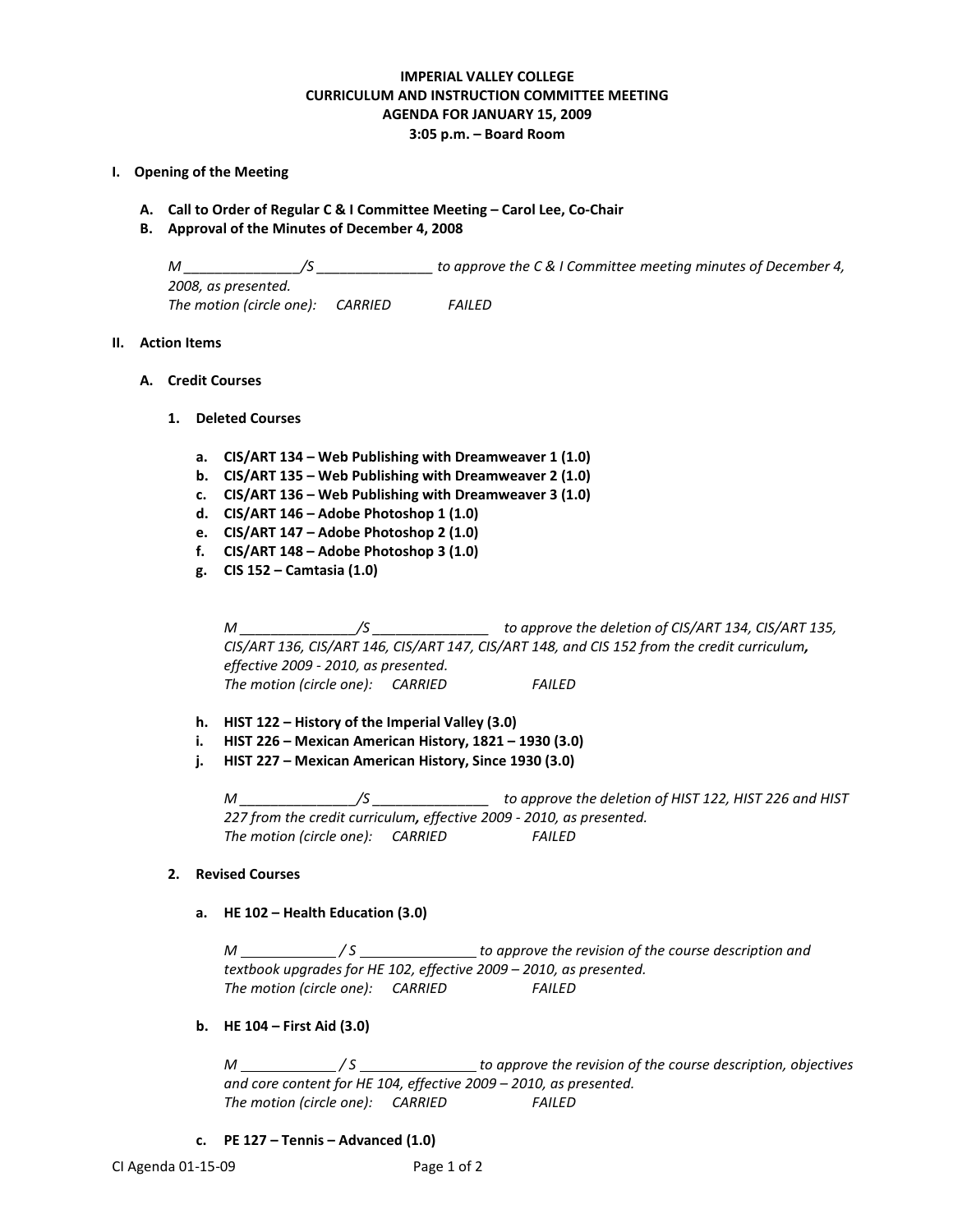# **IMPERIAL VALLEY COLLEGE CURRICULUM AND INSTRUCTION COMMITTEE MEETING AGENDA FOR JANUARY 15, 2009 3:05 p.m. – Board Room**

### **I. Opening of the Meeting**

- **A. Call to Order of Regular C & I Committee Meeting – Carol Lee, Co-Chair**
- **B. Approval of the Minutes of December 4, 2008**

*M \_\_\_\_\_\_\_\_\_\_\_\_\_\_\_/S \_\_\_\_\_\_\_\_\_\_\_\_\_\_\_ to approve the C & I Committee meeting minutes of December 4, 2008, as presented. The motion (circle one): CARRIED FAILED*

# **II. Action Items**

## **A. Credit Courses**

- **1. Deleted Courses**
	- **a. CIS/ART 134 – Web Publishing with Dreamweaver 1 (1.0)**
	- **b. CIS/ART 135 – Web Publishing with Dreamweaver 2 (1.0)**
	- **c. CIS/ART 136 – Web Publishing with Dreamweaver 3 (1.0)**
	- **d. CIS/ART 146 – Adobe Photoshop 1 (1.0)**
	- **e. CIS/ART 147 – Adobe Photoshop 2 (1.0)**
	- **f. CIS/ART 148 – Adobe Photoshop 3 (1.0)**
	- **g. CIS 152 – Camtasia (1.0)**

*M \_\_\_\_\_\_\_\_\_\_\_\_\_\_\_/S \_\_\_\_\_\_\_\_\_\_\_\_\_\_\_ to approve the deletion of CIS/ART 134, CIS/ART 135, CIS/ART 136, CIS/ART 146, CIS/ART 147, CIS/ART 148, and CIS 152 from the credit curriculum, effective 2009 - 2010, as presented. The motion (circle one): CARRIED FAILED*

- **h. HIST 122 – History of the Imperial Valley (3.0)**
- **i. HIST 226 – Mexican American History, 1821 – 1930 (3.0)**
- **j. HIST 227 – Mexican American History, Since 1930 (3.0)**

*M \_\_\_\_\_\_\_\_\_\_\_\_\_\_\_/S \_\_\_\_\_\_\_\_\_\_\_\_\_\_\_ to approve the deletion of HIST 122, HIST 226 and HIST 227 from the credit curriculum, effective 2009 - 2010, as presented. The motion (circle one): CARRIED FAILED*

### **2. Revised Courses**

**a. HE 102 – Health Education (3.0)**

*M / S to approve the revision of the course description and textbook upgrades for HE 102, effective 2009 – 2010, as presented. The motion (circle one): CARRIED FAILED*

### **b. HE 104 – First Aid (3.0)**

*M / S to approve the revision of the course description, objectives and core content for HE 104, effective 2009 – 2010, as presented. The motion (circle one): CARRIED FAILED*

**c. PE 127 – Tennis – Advanced (1.0)**